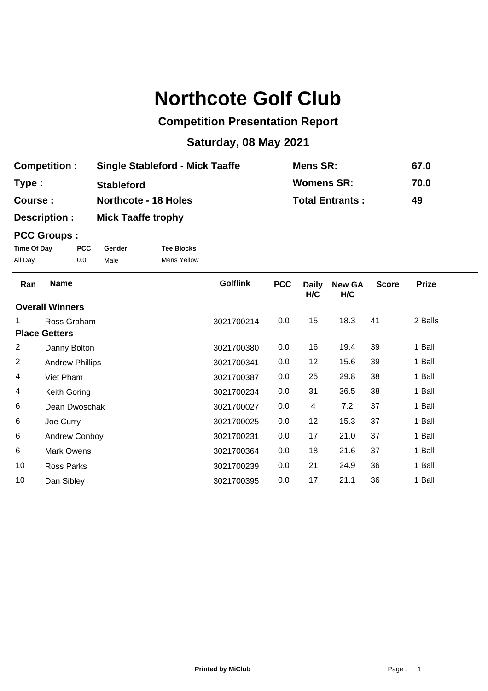## **Northcote Golf Club**

## **Competition Presentation Report**

## **Saturday, 08 May 2021**

| <b>Competition:</b> | <b>Single Stableford - Mick Taaffe</b> | Mens SR:               | 67.0 |
|---------------------|----------------------------------------|------------------------|------|
| Type :              | <b>Stableford</b>                      | <b>Womens SR:</b>      | 70.0 |
| Course :            | <b>Northcote - 18 Holes</b>            | <b>Total Entrants:</b> | 49   |
| Description :       | <b>Mick Taaffe trophy</b>              |                        |      |

## **PCC Groups :**

| Time Of Day | <b>PCC</b> | Gender | <b>Tee Blocks</b>  |
|-------------|------------|--------|--------------------|
| All Day     | 0.0        | Male   | <b>Mens Yellow</b> |

| Ran            | <b>Name</b>            | <b>Golflink</b> | <b>PCC</b> | <b>Daily</b><br>H/C | <b>New GA</b><br>H/C | <b>Score</b> | <b>Prize</b> |  |
|----------------|------------------------|-----------------|------------|---------------------|----------------------|--------------|--------------|--|
|                | <b>Overall Winners</b> |                 |            |                     |                      |              |              |  |
| 1.             | Ross Graham            | 3021700214      | 0.0        | 15                  | 18.3                 | 41           | 2 Balls      |  |
|                | <b>Place Getters</b>   |                 |            |                     |                      |              |              |  |
| 2              | Danny Bolton           | 3021700380      | 0.0        | 16                  | 19.4                 | 39           | 1 Ball       |  |
| $\overline{2}$ | <b>Andrew Phillips</b> | 3021700341      | 0.0        | 12                  | 15.6                 | 39           | 1 Ball       |  |
| 4              | Viet Pham              | 3021700387      | 0.0        | 25                  | 29.8                 | 38           | 1 Ball       |  |
| 4              | Keith Goring           | 3021700234      | 0.0        | 31                  | 36.5                 | 38           | 1 Ball       |  |
| 6              | Dean Dwoschak          | 3021700027      | 0.0        | 4                   | 7.2                  | 37           | 1 Ball       |  |
| 6              | Joe Curry              | 3021700025      | 0.0        | 12                  | 15.3                 | 37           | 1 Ball       |  |
| 6              | Andrew Conboy          | 3021700231      | 0.0        | 17                  | 21.0                 | 37           | 1 Ball       |  |
| 6              | <b>Mark Owens</b>      | 3021700364      | 0.0        | 18                  | 21.6                 | 37           | 1 Ball       |  |
| 10             | <b>Ross Parks</b>      | 3021700239      | 0.0        | 21                  | 24.9                 | 36           | 1 Ball       |  |
| 10             | Dan Sibley             | 3021700395      | 0.0        | 17                  | 21.1                 | 36           | 1 Ball       |  |